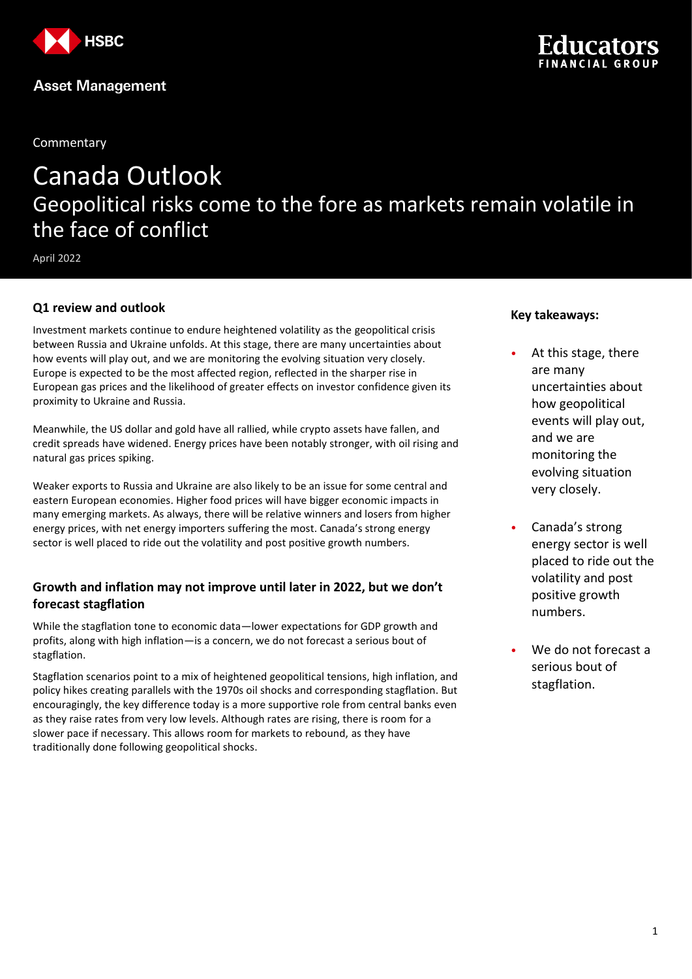

**Commentary** 

# Canada Outlook Geopolitical risks come to the fore as markets remain volatile in the face of conflict

April 2022

### **Q1 review and outlook**

Investment markets continue to endure heightened volatility as the geopolitical crisis between Russia and Ukraine unfolds. At this stage, there are many uncertainties about how events will play out, and we are monitoring the evolving situation very closely. Europe is expected to be the most affected region, reflected in the sharper rise in European gas prices and the likelihood of greater effects on investor confidence given its proximity to Ukraine and Russia.

Meanwhile, the US dollar and gold have all rallied, while crypto assets have fallen, and credit spreads have widened. Energy prices have been notably stronger, with oil rising and natural gas prices spiking.

Weaker exports to Russia and Ukraine are also likely to be an issue for some central and eastern European economies. Higher food prices will have bigger economic impacts in many emerging markets. As always, there will be relative winners and losers from higher energy prices, with net energy importers suffering the most. Canada's strong energy sector is well placed to ride out the volatility and post positive growth numbers.

### **Growth and inflation may not improve until later in 2022, but we don't forecast stagflation**

While the stagflation tone to economic data—lower expectations for GDP growth and profits, along with high inflation—is a concern, we do not forecast a serious bout of stagflation.

Stagflation scenarios point to a mix of heightened geopolitical tensions, high inflation, and policy hikes creating parallels with the 1970s oil shocks and corresponding stagflation. But encouragingly, the key difference today is a more supportive role from central banks even as they raise rates from very low levels. Although rates are rising, there is room for a slower pace if necessary. This allows room for markets to rebound, as they have traditionally done following geopolitical shocks.

#### **Key takeaways:**

At this stage, there are many uncertainties about how geopolitical events will play out, and we are monitoring the evolving situation very closely.

ncator

- Canada's strong energy sector is well placed to ride out the volatility and post positive growth numbers.
- We do not forecast a serious bout of stagflation.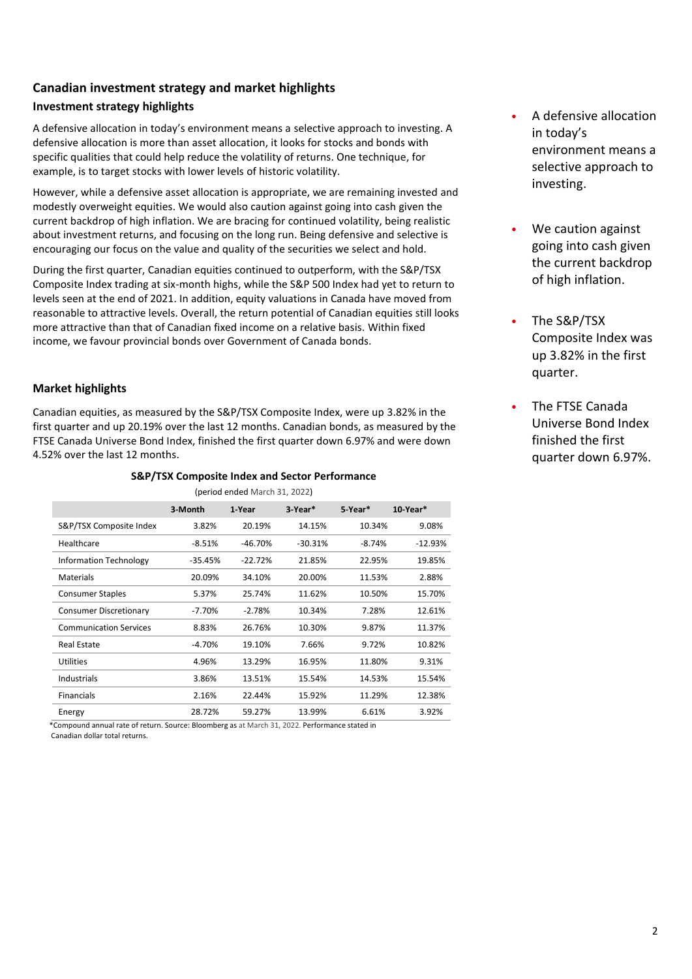## **Canadian investment strategy and market highlights**

## **Investment strategy highlights**

A defensive allocation in today's environment means a selective approach to investing. A defensive allocation is more than asset allocation, it looks for stocks and bonds with specific qualities that could help reduce the volatility of returns. One technique, for example, is to target stocks with lower levels of historic volatility.

However, while a defensive asset allocation is appropriate, we are remaining invested and modestly overweight equities. We would also caution against going into cash given the current backdrop of high inflation. We are bracing for continued volatility, being realistic about investment returns, and focusing on the long run. Being defensive and selective is encouraging our focus on the value and quality of the securities we select and hold.

During the first quarter, Canadian equities continued to outperform, with the S&P/TSX Composite Index trading at six-month highs, while the S&P 500 Index had yet to return to levels seen at the end of 2021. In addition, equity valuations in Canada have moved from reasonable to attractive levels. Overall, the return potential of Canadian equities still looks more attractive than that of Canadian fixed income on a relative basis. Within fixed income, we favour provincial bonds over Government of Canada bonds.

## **Market highlights**

Canadian equities, as measured by the S&P/TSX Composite Index, were up 3.82% in the first quarter and up 20.19% over the last 12 months. Canadian bonds, as measured by the FTSE Canada Universe Bond Index, finished the first quarter down 6.97% and were down 4.52% over the last 12 months.

| (period ended March 31, 2022) |           |           |           |          |                |
|-------------------------------|-----------|-----------|-----------|----------|----------------|
|                               | 3-Month   | 1-Year    | 3-Year*   | 5-Year*  | $10$ -Year $*$ |
| S&P/TSX Composite Index       | 3.82%     | 20.19%    | 14.15%    | 10.34%   | 9.08%          |
| Healthcare                    | $-8.51%$  | $-46.70%$ | $-30.31%$ | $-8.74%$ | $-12.93%$      |
| <b>Information Technology</b> | $-35.45%$ | $-22.72%$ | 21.85%    | 22.95%   | 19.85%         |
| <b>Materials</b>              | 20.09%    | 34.10%    | 20.00%    | 11.53%   | 2.88%          |
| <b>Consumer Staples</b>       | 5.37%     | 25.74%    | 11.62%    | 10.50%   | 15.70%         |
| <b>Consumer Discretionary</b> | $-7.70%$  | $-2.78%$  | 10.34%    | 7.28%    | 12.61%         |
| <b>Communication Services</b> | 8.83%     | 26.76%    | 10.30%    | 9.87%    | 11.37%         |
| <b>Real Estate</b>            | $-4.70%$  | 19.10%    | 7.66%     | 9.72%    | 10.82%         |
| Utilities                     | 4.96%     | 13.29%    | 16.95%    | 11.80%   | 9.31%          |
| Industrials                   | 3.86%     | 13.51%    | 15.54%    | 14.53%   | 15.54%         |
| <b>Financials</b>             | 2.16%     | 22.44%    | 15.92%    | 11.29%   | 12.38%         |
| Energy                        | 28.72%    | 59.27%    | 13.99%    | 6.61%    | 3.92%          |

**S&P/TSX Composite Index and Sector Performance**

 \*Compound annual rate of return. Source: Bloomberg as at March 31, 2022. Performance stated in Canadian dollar total returns.

- A defensive allocation in today's environment means a selective approach to investing.
- We caution against going into cash given the current backdrop of high inflation.
- The S&P/TSX Composite Index was up 3.82% in the first quarter.
- The FTSE Canada Universe Bond Index finished the first quarter down 6.97%.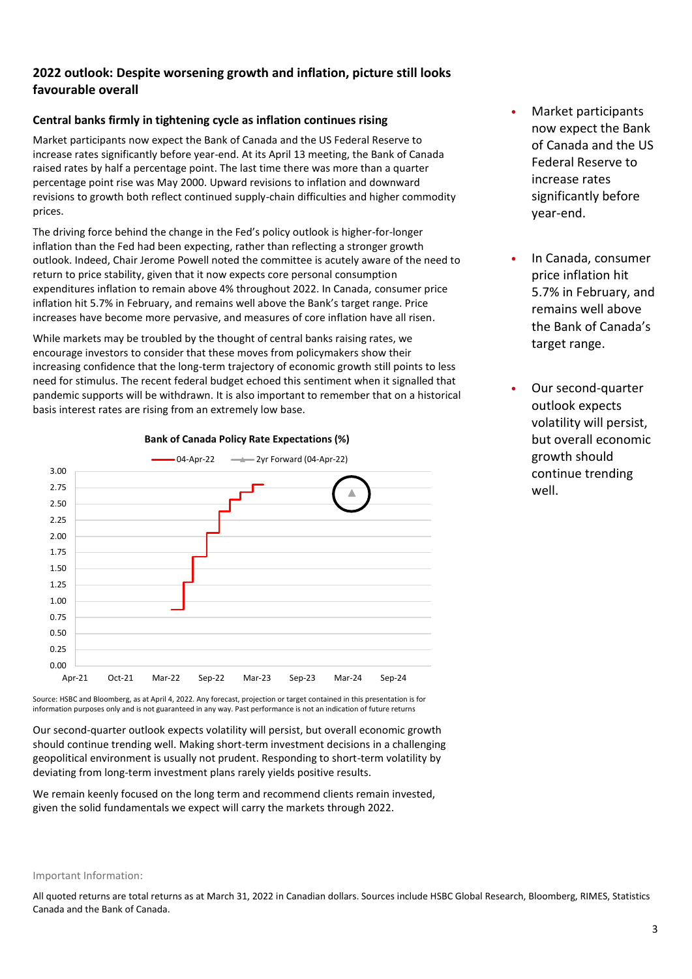### **2022 outlook: Despite worsening growth and inflation, picture still looks favourable overall**

### **Central banks firmly in tightening cycle as inflation continues rising**

Market participants now expect the Bank of Canada and the US Federal Reserve to increase rates significantly before year-end. At its April 13 meeting, the Bank of Canada raised rates by half a percentage point. The last time there was more than a quarter percentage point rise was May 2000. Upward revisions to inflation and downward revisions to growth both reflect continued supply-chain difficulties and higher commodity prices.

The driving force behind the change in the Fed's policy outlook is higher-for-longer inflation than the Fed had been expecting, rather than reflecting a stronger growth outlook. Indeed, Chair Jerome Powell noted the committee is acutely aware of the need to return to price stability, given that it now expects core personal consumption expenditures inflation to remain above 4% throughout 2022. In Canada, consumer price inflation hit 5.7% in February, and remains well above the Bank's target range. Price increases have become more pervasive, and measures of core inflation have all risen.

While markets may be troubled by the thought of central banks raising rates, we encourage investors to consider that these moves from policymakers show their increasing confidence that the long-term trajectory of economic growth still points to less need for stimulus. The recent federal budget echoed this sentiment when it signalled that pandemic supports will be withdrawn. It is also important to remember that on a historical basis interest rates are rising from an extremely low base.



**Bank of Canada Policy Rate Expectations (%)**

Source: HSBC and Bloomberg, as at April 4, 2022. Any forecast, projection or target contained in this presentation is for information purposes only and is not guaranteed in any way. Past performance is not an indication of future returns

Our second-quarter outlook expects volatility will persist, but overall economic growth should continue trending well. Making short-term investment decisions in a challenging geopolitical environment is usually not prudent. Responding to short-term volatility by deviating from long-term investment plans rarely yields positive results.

We remain keenly focused on the long term and recommend clients remain invested, given the solid fundamentals we expect will carry the markets through 2022.

- Market participants now expect the Bank of Canada and the US Federal Reserve to increase rates significantly before year-end.
- In Canada, consumer price inflation hit 5.7% in February, and remains well above the Bank of Canada's target range.
- Our second-quarter outlook expects volatility will persist, but overall economic growth should continue trending well.

All quoted returns are total returns as at March 31, 2022 in Canadian dollars. Sources include HSBC Global Research, Bloomberg, RIMES, Statistics Canada and the Bank of Canada.

Important Information: